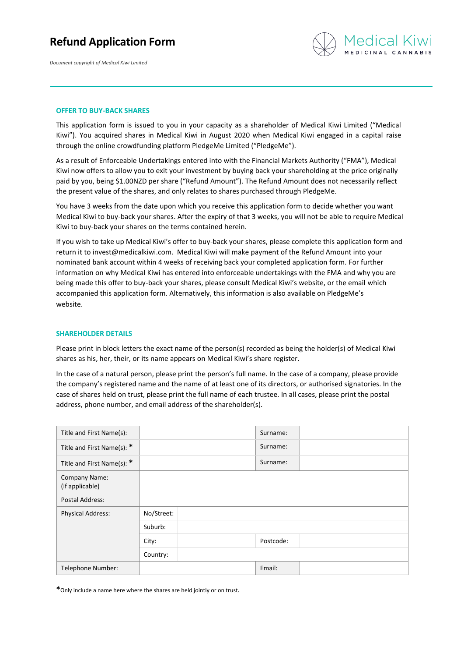## **Refund Application Form**

*Document copyright of Medical Kiwi Limited*



#### **OFFER TO BUY-BACK SHARES**

This application form is issued to you in your capacity as a shareholder of Medical Kiwi Limited ("Medical Kiwi"). You acquired shares in Medical Kiwi in August 2020 when Medical Kiwi engaged in a capital raise through the online crowdfunding platform PledgeMe Limited ("PledgeMe").

As a result of Enforceable Undertakings entered into with the Financial Markets Authority ("FMA"), Medical Kiwi now offers to allow you to exit your investment by buying back your shareholding at the price originally paid by you, being \$1.00NZD per share ("Refund Amount"). The Refund Amount does not necessarily reflect the present value of the shares, and only relates to shares purchased through PledgeMe.

You have 3 weeks from the date upon which you receive this application form to decide whether you want Medical Kiwi to buy-back your shares. After the expiry of that 3 weeks, you will not be able to require Medical Kiwi to buy-back your shares on the terms contained herein.

If you wish to take up Medical Kiwi's offer to buy-back your shares, please complete this application form and return it to [invest@medicalkiwi.com.](mailto:invest@medicalkiwi.com) Medical Kiwi will make payment of the Refund Amount into your nominated bank account within 4 weeks of receiving back your completed application form. For further information on why Medical Kiwi has entered into enforceable undertakings with the FMA and why you are being made this offer to buy-back your shares, please consult Medical Kiwi's website, or the email which accompanied this application form. Alternatively, this information is also available on PledgeMe's website.

#### **SHAREHOLDER DETAILS**

Please print in block letters the exact name of the person(s) recorded as being the holder(s) of Medical Kiwi shares as his, her, their, or its name appears on Medical Kiwi's share register.

In the case of a natural person, please print the person's full name. In the case of a company, please provide the company's registered name and the name of at least one of its directors, or authorised signatories. In the case of shares held on trust, please print the full name of each trustee. In all cases, please print the postal address, phone number, and email address of the shareholder(s).

| Title and First Name(s):         |            | Surname:  |  |
|----------------------------------|------------|-----------|--|
| Title and First Name(s): *       |            | Surname:  |  |
| Title and First Name(s): *       |            | Surname:  |  |
| Company Name:<br>(if applicable) |            |           |  |
| Postal Address:                  |            |           |  |
| <b>Physical Address:</b>         | No/Street: |           |  |
|                                  | Suburb:    |           |  |
|                                  | City:      | Postcode: |  |
|                                  | Country:   |           |  |
| Telephone Number:                |            | Email:    |  |

**\***Only include a name here where the shares are held jointly or on trust.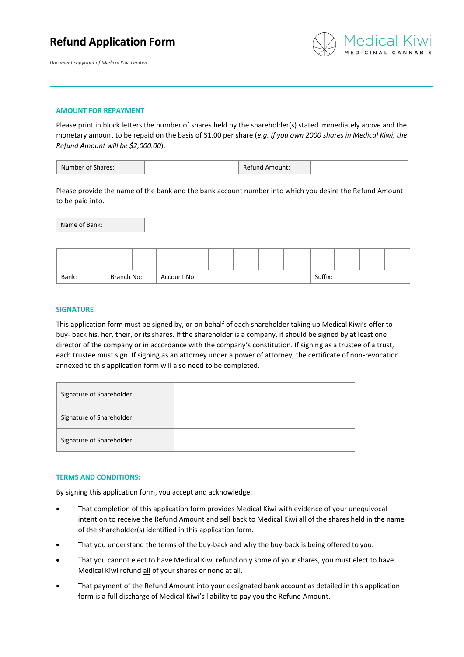## **Refund Application Form**





#### **AMOUNT FOR REPAYMENT**

Please print in block letters the number of shares held by the shareholder(s) stated immediately above and the monetary amount to be repaid on the basis of \$1.00 per share (*e.g. If you own 2000 shares in Medical Kiwi, the Refund Amount will be \$2,000.00*).

| Number of Shares: |  | <b>Refund Amount:</b> |  |
|-------------------|--|-----------------------|--|
|-------------------|--|-----------------------|--|

Please provide the name of the bank and the bank account number into which you desire the Refund Amount to be paid into.

| Name of Bank: |  |
|---------------|--|
|               |  |

| Branch No:<br>Bank: |  | Account No: |  |  |  |  | Suffix: |  |  |  |  |  |  |
|---------------------|--|-------------|--|--|--|--|---------|--|--|--|--|--|--|

### **SIGNATURE**

This application form must be signed by, or on behalf of each shareholder taking up Medical Kiwi's offer to buy- back his, her, their, or its shares. If the shareholder is a company, it should be signed by at least one director of the company or in accordance with the company's constitution. If signing as a trustee of a trust, each trustee must sign. If signing as an attorney under a power of attorney, the certificate of non-revocation annexed to this application form will also need to be completed.

| Signature of Shareholder: |  |
|---------------------------|--|
| Signature of Shareholder: |  |
| Signature of Shareholder: |  |

### **TERMS AND CONDITIONS:**

By signing this application form, you accept and acknowledge:

- That completion of this application form provides Medical Kiwi with evidence of your unequivocal intention to receive the Refund Amount and sell back to Medical Kiwi all of the shares held in the name of the shareholder(s) identified in this application form.
- That you understand the terms of the buy-back and why the buy-back is being offered to you.
- That you cannot elect to have Medical Kiwi refund only some of your shares, you must elect to have Medical Kiwi refund all of your shares or none at all.
- That payment of the Refund Amount into your designated bank account as detailed in this application form is a full discharge of Medical Kiwi's liability to pay you the Refund Amount.